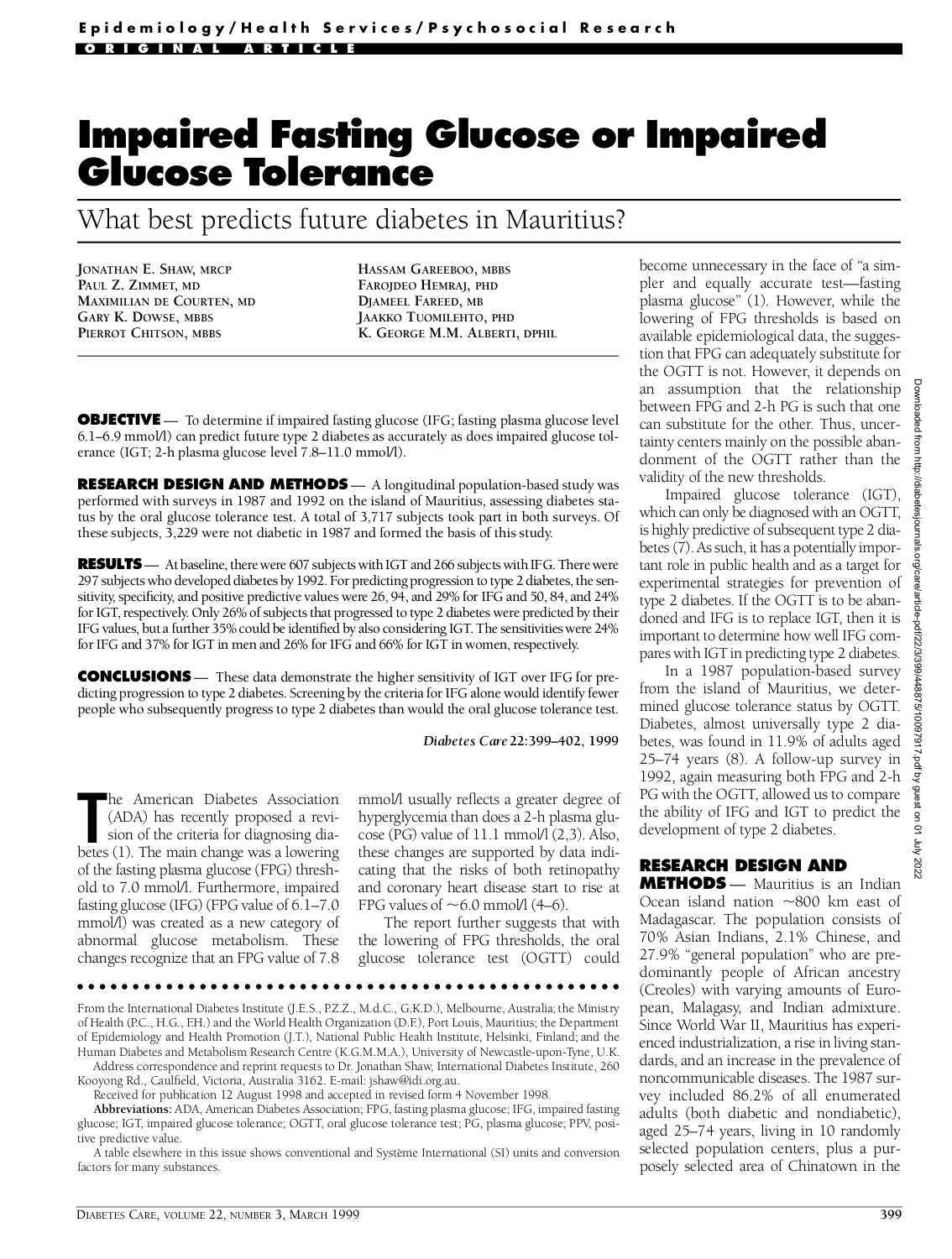# **Impaired Fasting Glucose or Impaired Glucose Tolerance**

What best predicts future diabetes in Mauritius?

**JONATHAN E. SHAW, MRCP PAUL Z. ZIMMET, MD MAXIMILIAN DE COURTEN, MD GARY K. DOWSE, MBBS PIERROT CHITSON, MBBS**

**HASSAM GAREEBOO, MBBS FAROJDEO HEMRAJ, PHD DJAMEEL FAREED, MB JAAKKO TUOMILEHTO, PHD K. GEORGE M.M. ALBERTI, DPHIL**

**OBJECTIVE** — To determine if impaired fasting glucose (IFG; fasting plasma glucose level 6.1–6.9 mmol/l) can predict future type 2 diabetes as accurately as does impaired glucose tolerance (IGT; 2-h plasma glucose level 7.8–11.0 mmol/l).

**RESEARCH DESIGN AND METHODS** — A longitudinal population-based study was performed with surveys in 1987 and 1992 on the island of Mauritius, assessing diabetes status by the oral glucose tolerance test. A total of 3,717 subjects took part in both surveys. Of these subjects, 3,229 were not diabetic in 1987 and formed the basis of this study.

**RESULTS** — At baseline, there were 607 subjects with IGT and 266 subjects with IFG. There were 297 subjects who developed diabetes by 1992. For predicting progression to type 2 diabetes, the sensitivity, specificity, and positive predictive values were 26, 94, and 29% for IFG and 50, 84, and 24% for IGT, respectively. Only 26% of subjects that progressed to type 2 diabetes were predicted by their IFG values, but a further 35% could be identified by also considering IGT. The sensitivities were 24% for IFG and 37% for IGT in men and 26% for IFG and 66% for IGT in women, respectively.

**CONCLUSIONS** — These data demonstrate the higher sensitivity of IGT over IFG for predicting progression to type 2 diabetes. Screening by the criteria for IFG alone would identify fewer people who subsequently progress to type 2 diabetes than would the oral glucose tolerance test.

*Diabetes Care***22:399–402, 1999**

The American Diabetes Association (ADA) has recently proposed a revision of the criteria for diagnosing diabetes (1). The main change was a lowering he American Diabetes Association (ADA) has recently proposed a revision of the criteria for diagnosing diaof the fasting plasma glucose (FPG) threshold to 7.0 mmol/l. Furthermore, impaired fasting glucose (IFG) (FPG value of 6.1–7.0 mmol/l) was created as a new category of abnormal glucose metabolism. These changes recognize that an FPG value of 7.8

mmol/l usually re flects a greater degree of hy perglycemia than does a 2-h plasma glucose (PG) value of  $11.1$  mmol $/1$  (2,3). Also, these changes are supported by data indicating that the risks of both retinopathy and coronary heart disease start to rise at FPG values of  $\sim$  6.0 mmol/l (4–6).

The report further suggests that with the lowering of FPG thresholds, the oral glucose tolerance test (OGTT) could

From the International Diabetes Institute (J.E.S., P.Z.Z., M.d.C., G.K.D.), Melbourne, Australia; the Ministry of Health (P.C., H.G., F.H.) and the World Health Organization (D.F.), Port Louis, Mauritius; the Department of Epidemiology and Health Promotion (J.T.), National Public Health Institute, Helsinki, Finland; and the Human Diabetes and Metabolism Research Centre (K.G.M.M.A.), University of Newcastle-upon-Tyne, U.K.

Address correspondence and reprint requests to Dr. Jonathan Shaw, International Diabetes Institute, 260 Kooyong Rd., Caulfield, Victoria, Australia 3162. E-mail: jshaw@idi.org.au.

Received for publication 12 August 1998 and accepted in revised form 4 November 1998.

Abbreviations: ADA, American Diabetes Association; FPG, fasting plasma glucose; IFG, impaired fasting glucose; IGT, impaired glucose tolerance; OGTT, oral glucose tolerance test; PG, plasma glucose; PPV, positive predictive value.

A table elsewhere in this issue shows conventional and Système International (SI) units and conversion factors for many substances.

become unnecessary in the face of "a simpler and equally accurate test—fasting plasma glucose" (1). However, while the lowering of FPG thresholds is based on available epidemiological data, the suggestion that FPG can adequately substitute for the OGTT is not. However, it depends on an assumption that the relationship between FPG and 2-h PG is such that one can substitute for the other. Thus, uncertainty centers mainly on the possible abandonment of the OGTT rather than the validity of the new thre sholds.

Impaired glucose tolerance (IGT), which can only be diagnosed with an OGTT, is highly predictive of subsequent type 2 diabetes (7). As such, it has a potentially important role in public health and as a target for experimental strategies for prevention of type 2 diabetes. If the OGTT is to be abandoned and IFG is to replace IGT, then it is important to determine how well IFG compares with IGT in predicting type 2 diabetes.

In a 1987 population-based survey from the island of Mauritius, we determined glucose tolerance status by OGTT. Diabetes, almost universally type 2 diabetes, was found in 11.9% of adults aged 25–74 years (8). A follow-up survey in 1992, again measuring both FPG and 2-h PG with the OGTT, allowed us to compare the ability of IFG and IGT to predict the development of type 2 diabetes.

## **RESEARCH DESIGN AND**

**METHODS** — Mauritius is an Indian Ocean island nation  $\sim$ 800 km east of Madagascar. The population consists of 70% Asian Indians, 2.1% Chinese, and 27.9% "general population" who are predominantly people of African ancestry (Creoles) with varying amounts of European, Malagasy, and Indian admixture . Since World War II, Mauritius has experienced industrialization, a rise in living standards, and an increase in the prevalence of noncommunicable diseases. The 1987 survey included 86.2% of all enumerated adults (both diabetic and nondiabetic), aged 25–74 years, living in 10 randomly selected population centers, plus a purposely selected area of Chinatown in the

Downloaded from http://diabetesjournals.org/care/article-pdf/22/3/399/448875/10097917.pdf by guest on 01 July 2022

rticle-pdf/22/3/399/448875/10097917.pdf by guest on 01

700 YO22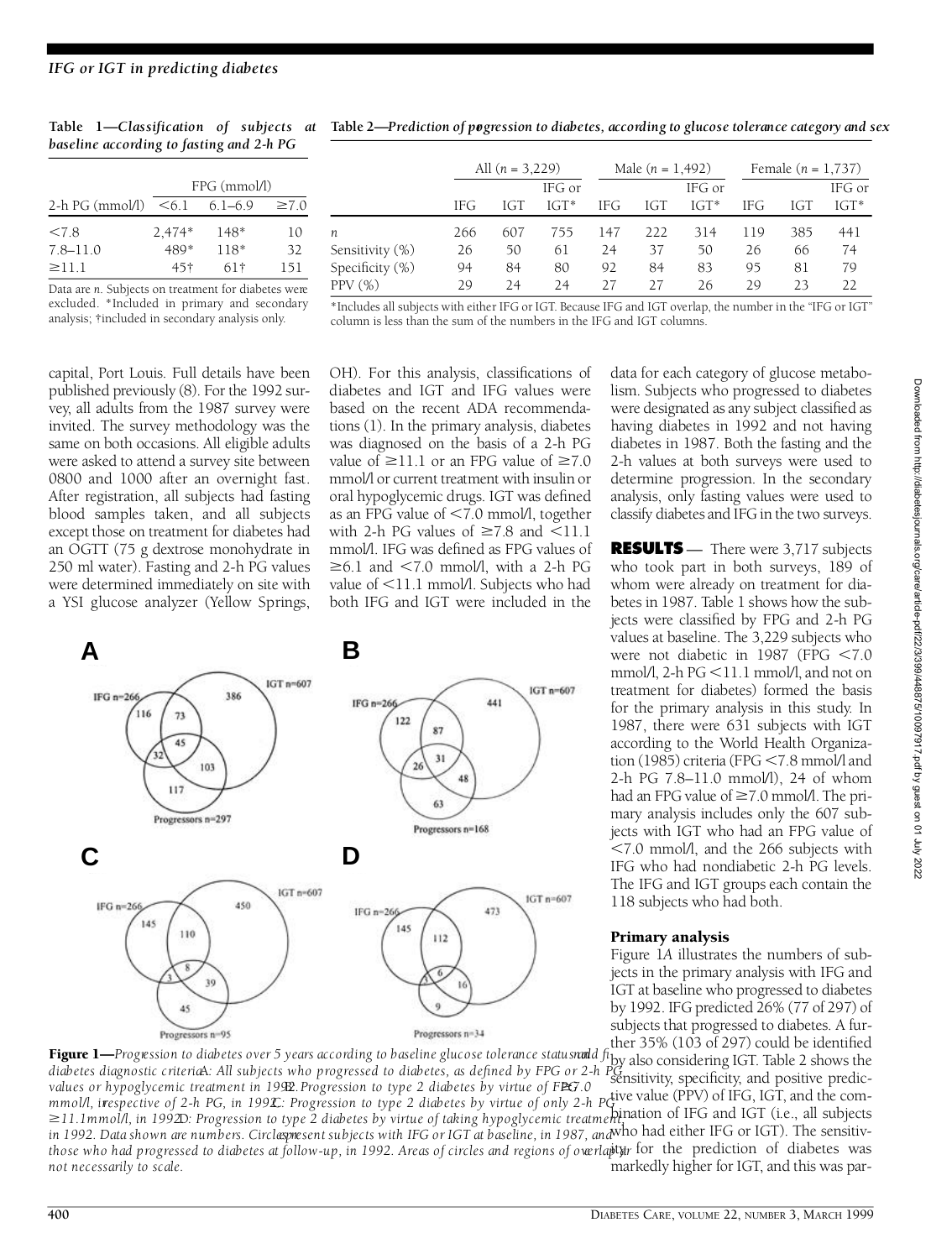*baseline according to fasting and 2-h PG* 

|                   | $FPG$ (mmol/l)  |             |            |  |  |  |
|-------------------|-----------------|-------------|------------|--|--|--|
| $2-h PG$ (mmol/l) | < 6.1           | $6.1 - 6.9$ | $\geq 7.0$ |  |  |  |
| < 7.8             | $2,474*$        | $148*$      | 10         |  |  |  |
| $7.8 - 11.0$      | 489*            | $118*$      | 32         |  |  |  |
| $\geq$ 11.1       | 45 <sup>†</sup> | 61†         | 151        |  |  |  |
|                   |                 |             |            |  |  |  |

Data are *n*. Subjects on treatment for diabetes were excluded. \*Included in primary and secondary analysis; †included in secondary analysis only.

**Table 1—***Classification of subjects at*  **Table 2—***P rediction of pro g ression to diabetes, according to glucose tolerance category and sex*

|                 | All $(n = 3,229)$ |     |         | Male $(n = 1,492)$ |     |         | Female $(n = 1, 737)$ |     |         |
|-----------------|-------------------|-----|---------|--------------------|-----|---------|-----------------------|-----|---------|
|                 |                   |     | IFG or  |                    |     | IFG or  |                       |     | IFG or  |
|                 | IFG.              | IGT | $IGT^*$ | <b>IFG</b>         | IGT | $IGT^*$ | <b>IFG</b>            | IGT | $IGT^*$ |
| n.              | 266               | 607 | 755     | 147                | 222 | 314     | 119                   | 385 | 441     |
| Sensitivity (%) | 26                | 50  | 61      | 24                 | 37  | 50      | 26                    | 66  | 74      |
| Specificity (%) | 94                | 84  | 80      | 92                 | 84  | 83      | 95                    | 81  | 79      |
| PPV (%)         | 29                | 24  | 24      | 27                 | 27  | 26      | 29                    | フ3  | 22      |

\*Includes all subjects with either IFG or IGT. Because IFG and IGT overlap, the number in the "IFG or IGT" column is less than the sum of the numbers in the IFG and IGT columns.

capital, Port Louis. Full details have been published previously (8). For the 1992 survey, all adults from the 1987 survey were invited. The survey methodology was the same on both occasions. All eligible adults were asked to attend a survey site between 0800 and 1000 after an overnight fast. After registration, all subjects had fasting blood samples taken, and all subjects except those on treatment for diabetes had an OGTT (75 g dextrose monohydrate in 250 ml water). Fasting and 2-h PG values were determined immediately on site with a YSI glucose analyzer (Yellow Springs,

OH). For this analysis, classifications of diabetes and IGT and IFG values were based on the recent ADA recommendations (1). In the primary analysis, diabetes value of <11.1 mmol/l. Subjects who had both IFG and IGT were included in the

was diagnosed on the basis of a 2-h PG value of  $\geq$ 11.1 or an FPG value of  $\geq$ 7.0 mmol/l or current treatment with insulin or oral hypoglycemic drugs. IGT was defined as an FPG value of  $< 7.0$  mmol/l, together with 2-h PG values of  $\geq 7.8$  and  $\leq 11.1$ mmol/l. IFG was defined as FPG values of  $\geq 6.1$  and  $\leq 7.0$  mmol/l, with a 2-h PG



data for each category of glucose metabolism. Subjects who progressed to diabetes were designated as any subject classified as having diabetes in 1992 and not having diabetes in 1987. Both the fasting and the 2-h values at both surveys were used to determine progression. In the secondary analysis, only fasting values were used to classify diabetes and IFG in the two surveys.

**RESULTS** — There were 3,717 subjects who took part in both surveys, 189 of whom were already on treatment for diabetes in 1987. Table 1 shows how the subjects were classified by FPG and 2-h PG values at baseline. The 3,229 subjects who were not diabetic in 1987 (FPG  $< 7.0$ mmol/l, 2-h  $PG < 11.1$  mmol/l, and not on treatment for diabetes) formed the basis for the primary analysis in this study. In 1987, there were 631 subjects with IGT according to the World Health Organization (1985) criteria (FPG  $<$  7.8 mmol/l and 2-h PG 7.8–11.0 mmol/l), 24 of whom had an FPG value of  $\geq 7.0$  mmol/l. The primary analysis includes only the 607 subjects with IGT who had an FPG value of  $<$ 7.0 mmol/l, and the 266 subjects with IFG who had nondiabetic 2-h PG levels. The IFG and IGT groups each contain the 118 subjects who had both.

#### Primary analysis

Figure 1A illustrates the numbers of subjects in the primary analysis with IFG and IGT at baseline who progressed to diabetes by 1992. IFG predicted 26% (77 of 297) of subjects that progressed to diabetes. A further 35% (103 of 297) could be identified

by also considering IGT. Table 2 shows the diabetes diagnostic criteriaA: All subjects who progressed to diabetes, as defined by FPG or 2-h PG and continued to it has a grow are<br>values at hypoglycamic treatment in 1900 Progression to type 2 diabetes by virtue of FP ratures of hypoglycemic element in 1922. Progression to type 2 diabetes by virtue of only 2-h petive value (PPV) of IFG, IGT, and the com-<br>mmol/l, irespective of 2-h PG, in 1992. Progression to type 2 diabetes by virtue of **211.1mmol/l, in 1992.** Progression to type 2 diabetes by virtue of taking hypoglycemic treatment, and IGT (i.e., all subjects and IGT (i.e., all subjects) in 1992. Data shown are numbers. Circlespresent subjects with IFG or IGT at baseline, in 1987, and who had either IFG or IGT). The sensitivthose who had progressed to diabetes at follow-up, in 1992. Areas of circles and regions of overlapty for the prediction of diabetes was markedly higher for IGT, and this was par-Figure 1—*Progression to diabetes over 5 years according to baseline glucose tolerance statusnald fiby also considering IGT. Table 2 shows the values or hypoglycemic treatment in 1992. Progression to type 2 diabetes by virtue of FPG 0.0 not necessarily to scale.*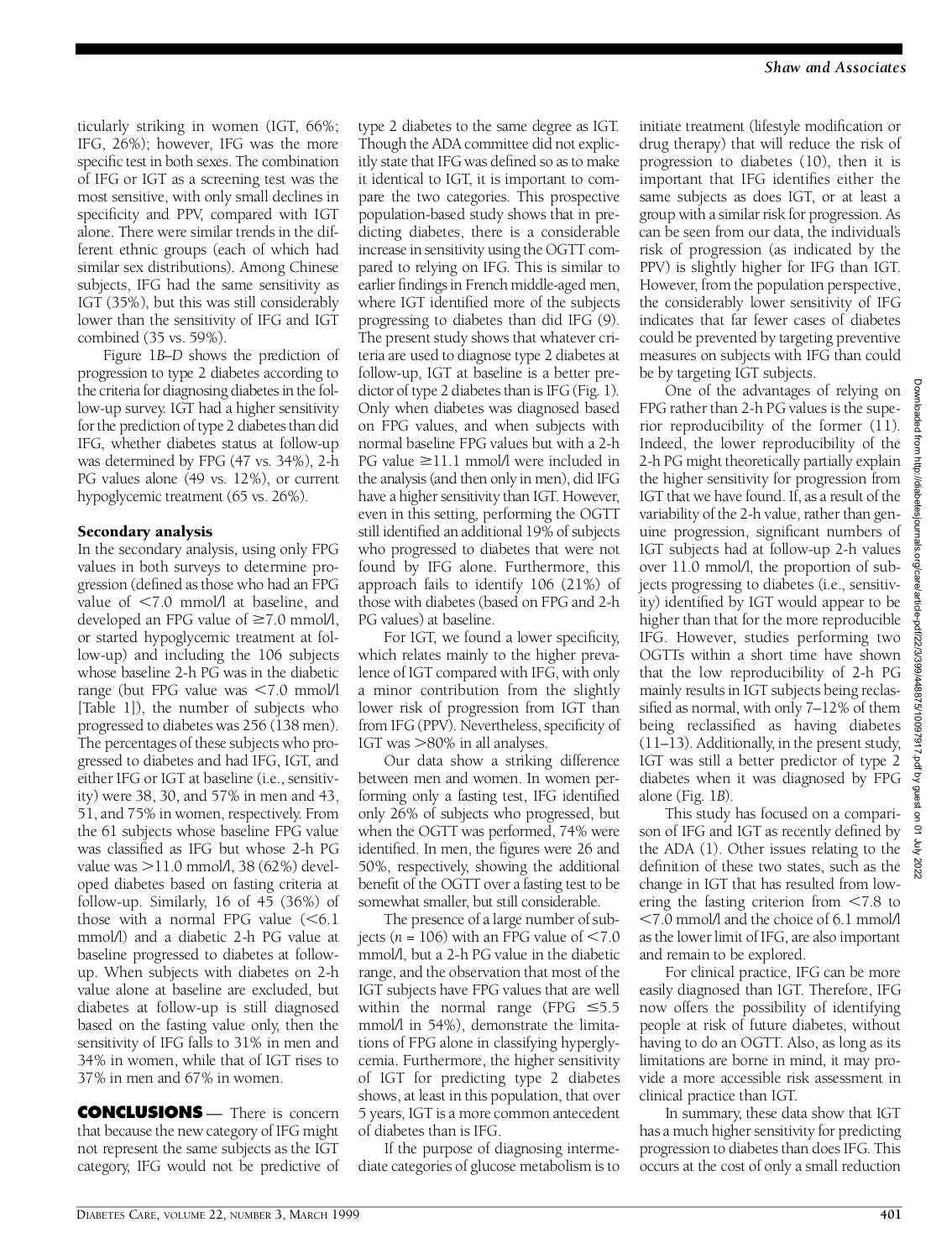ticularly striking in women (IGT, 66%; IFG, 26%); however, IFG was the more specific test in both sexes. The combination of IFG or IGT as a screening test was the most sensitive, with only small declines in specificity and PPV, compared with IGT alone. There were similar trends in the different ethnic groups (each of which had similar sex distributions). Among Chinese subjects, IFG had the same sensitivity as IGT (35%), but this was still considerably lower than the sensitivity of IFG and IGT combined (35 vs. 59%).

Figure 1*B–D* shows the prediction of progression to type 2 diabetes according to the criteria for diagnosing diabetes in the follow-up survey. IGT had a higher sensitivity for the prediction of type 2 diabetes than did IFG, whether diabetes status at follow-up was determined by FPG (47 vs. 34%), 2-h PG values alone (49 vs. 12%), or current hypoglycemic treatment (65 vs. 26%).

### Secondary analysis

In the secondary analysis, using only FPG values in both surveys to determine progression (defined as those who had an FPG value of  $< 7.0$  mmol/l at baseline, and developed an FPG value of  $\geq 7.0$  mmol/l, or started hypoglycemic treatment at follow-up) and including the 106 subjects whose baseline 2-h PG was in the diabetic range (but FPG value was  $\leq 7.0$  mmol/l [ Table 1]), the number of subjects who progressed to diabetes was 256 (138 men). The percentages of these subjects who progressed to diabetes and had IFG, IGT, and either IFG or IGT at baseline (i.e., sensitivity) were 38, 30, and 57% in men and 43, 51, and 75% in women, respectively. From the 61 subjects whose baseline FPG value was classified as IFG but whose 2-h PG value was  $>$ 11.0 mmol $\lambda$ , 38 (62%) developed diabetes based on fasting criteria at follow-up. Similarly, 16 of 45 (36%) of those with a normal FPG value  $(< 6.1$ mmol/l) and a diabetic 2-h PG value at baseline progressed to diabetes at followup. When subjects with diabetes on 2-h value alone at baseline are excluded, but diabetes at follow-up is still diagnosed based on the fasting value only, then the sensitivity of IFG falls to 31% in men and 34% in women, while that of IGT rises to 37% in men and 67% in women.

**CONCLUSIONS** — There is concern that because the new category of IFG might not represent the same subjects as the IGT category, IFG would not be predictive of type 2 diabetes to the same degree as IGT. Though the ADA committee did not explicitly state that IFG was defined so as to make it identical to IGT, it is important to compare the two categories. This prospective population-based study shows that in predicting diabetes, there is a considerable increase in sensitivity using the OGTT compared to relying on IFG. This is similar to earlier findings in French middle-aged men, where IGT identified more of the subjects progressing to diabetes than did IFG  $(9)$ . The present study shows that whatever criteria are used to diagnose type 2 diabetes at follow-up, IGT at baseline is a better predictor of type 2 diabetes than is IFG (Fig. 1). Only when diabetes was diagnosed based on FPG values, and when subjects with normal baseline FPG values but with a 2-h PG value  $\geq$ 11.1 mmol/l were included in the analysis (and then only in men), did IFG have a higher sensitivity than IGT. However, even in this setting, performing the OGTT still identified an additional 19% of subjects who progressed to diabetes that were not found by IFG alone. Furthermore, this approach fails to identify  $106$   $(21%)$  of those with diabetes (based on FPG and 2-h PG values) at baseline.

For IGT, we found a lower specificity, which relates mainly to the higher prevalence of IGT compared with IFG, with only a minor contribution from the slightly lower risk of progression from IGT than from IFG (PPV). Nevertheless, specificity of IGT was >80% in all analyses.

Our data show a striking difference between men and women. In women performing only a fasting test, IFG identified only 26% of subjects who progressed, but when the OGTT was performed, 74% were identified. In men, the figures were 26 and 50%, respectively, showing the additional benefit of the OGTT over a fasting test to be somewhat smaller, but still considerable.

The presence of a large number of subjects ( $n = 106$ ) with an FPG value of  $\leq 7.0$ mmol/l, but a 2-h PG value in the diabetic range, and the observation that most of the IGT subjects have FPG values that are well within the normal range (FPG  $\leq 5.5$ mmol/l in 54%), demonstrate the limitations of FPG alone in classifying hyperglycemia. Furthermore, the higher sensitivity of IGT for predicting type 2 diabetes shows, at least in this population, that over 5 years, IGT is a more common antecedent of diabetes than is IFG.

If the purpose of diagnosing intermediate categories of glucose metabolism is to

initiate treatment (lifestyle modification or drug therapy) that will reduce the risk of progression to diabetes  $(10)$ , then it is important that IFG identifies either the same subjects as does IGT, or at least a group with a similar risk for progression. As can be seen from our data, the individual's risk of progression (as indicated by the PPV) is slightly higher for IFG than IGT. However, from the population perspective, the considerably lower sensitivity of IFG indicates that far fewer cases of diabetes could be prevented by targeting preventive measures on subjects with IFG than could be by targeting IGT subjects.

One of the advantages of relying on FPG rather than 2-h PG values is the superior reproducibility of the former  $(11)$ . Indeed, the lower reproducibility of the 2-h PG might theoretically partially explain the higher sensitivity for progression from IGT that we have found. If, as a result of the variability of the 2-h value, rather than genuine progression, significant numbers of IGT subjects had at follow-up 2-h values over  $11.0 \text{ mmol/l}$ , the proportion of subjects progressing to diabetes (i.e., sensitivity) identified by IGT would appear to be higher than that for the more reproducible IFG. However, studies performing two OGTTs within a short time have shown that the low reproducibility of 2-h PG mainly results in IGT subjects being reclassified as normal, with only  $7-12\%$  of them being reclassified as having diabetes (11–13). Additionally, in the present study, IGT was still a better predictor of type 2 diabetes when it was diagnosed by FPG alone (Fig. 1*B*) .

This study has focused on a comparison of IFG and IGT as recently defined by the ADA (1). Other issues relating to the definition of these two states, such as the change in IGT that has resulted from lowering the fasting criterion from  $\leq 7.8$  to ,7.0 mmol/l and the choice of 6.1 mmol/l as the lower limit of IFG, are also important and remain to be explored.

For clinical practice, IFG can be more easily diagnosed than IGT. Therefore, IFG now offers the possibility of identifying people at risk of future diabetes, without having to do an OGTT. Also, as long as its limitations are borne in mind, it may provide a more accessible risk assessment in clinical practice than IGT.

In summary, these data show that IGT has a much higher sensitivity for predicting progression to diabetes than does IFG. This occurs at the cost of only a small reduction